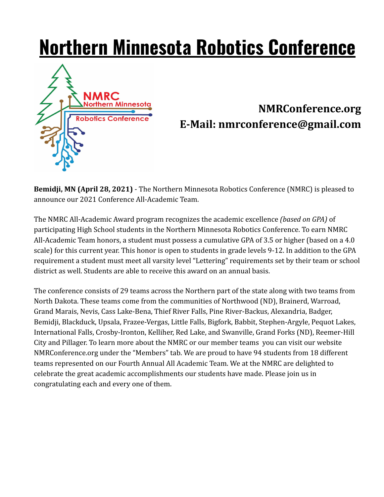# **Northern Minnesota Robotics Conference**



## **NMRConference.org E-Mail: nmrconference@gmail.com**

**Bemidji, MN (April 28, 2021)** - The Northern Minnesota Robotics Conference (NMRC) is pleased to announce our 2021 Conference All-Academic Team.

The NMRC All-Academic Award program recognizes the academic excellence *(based on GPA)* of participating High School students in the Northern Minnesota Robotics Conference. To earn NMRC All-Academic Team honors, a student must possess a cumulative GPA of 3.5 or higher (based on a 4.0 scale) for this current year. This honor is open to students in grade levels 9-12. In addition to the GPA requirement a student must meet all varsity level "Lettering" requirements set by their team or school district as well. Students are able to receive this award on an annual basis.

The conference consists of 29 teams across the Northern part of the state along with two teams from North Dakota. These teams come from the communities of Northwood (ND), Brainerd, Warroad, Grand Marais, Nevis, Cass Lake-Bena, Thief River Falls, Pine River-Backus, Alexandria, Badger, Bemidji, Blackduck, Upsala, Frazee-Vergas, Little Falls, Bigfork, Babbit, Stephen-Argyle, Pequot Lakes, International Falls, Crosby-Ironton, Kelliher, Red Lake, and Swanville, Grand Forks (ND), Reemer-Hill City and Pillager. To learn more about the NMRC or our member teams you can visit our website NMRConference.org under the "Members" tab. We are proud to have 94 students from 18 different teams represented on our Fourth Annual All Academic Team. We at the NMRC are delighted to celebrate the great academic accomplishments our students have made. Please join us in congratulating each and every one of them.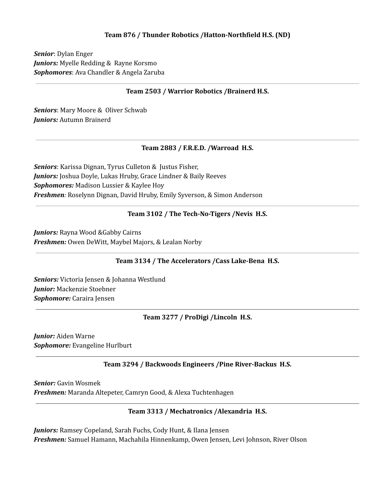#### **Team 876 / Thunder Robotics /Hatton-Northfield H.S. (ND)**

*Senior*: Dylan Enger *Juniors:* Myelle Redding & Rayne Korsmo *Sophomores*: Ava Chandler & Angela Zaruba

#### **Team 2503 / Warrior Robotics /Brainerd H.S.**

*Seniors*: Mary Moore & Oliver Schwab *Juniors:* Autumn Brainerd

#### **Team 2883 / F.R.E.D. /Warroad H.S.**

*Seniors*: Karissa Dignan, Tyrus Culleton & Justus Fisher, *Juniors:* Joshua Doyle, Lukas Hruby, Grace Lindner & Baily Reeves *Sophomores:* Madison Lussier & Kaylee Hoy *Freshmen:* Roselynn Dignan, David Hruby, Emily Syverson, & Simon Anderson

#### **Team 3102 / The Tech-No-Tigers /Nevis H.S.**

*Juniors:* Rayna Wood &Gabby Cairns *Freshmen:* Owen DeWitt, Maybel Majors, & Lealan Norby

#### **Team 3134 / The Accelerators /Cass Lake-Bena H.S.**

*Seniors:* Victoria Jensen & Johanna Westlund *Junior:* Mackenzie Stoebner *Sophomore:* Caraira Jensen

#### **Team 3277 / ProDigi /Lincoln H.S.**

*Junior:* Aiden Warne *Sophomore:* Evangeline Hurlburt

#### **Team 3294 / Backwoods Engineers /Pine River-Backus H.S.**

*Senior:* Gavin Wosmek *Freshmen:* Maranda Altepeter, Camryn Good, & Alexa Tuchtenhagen

#### **Team 3313 / Mechatronics /Alexandria H.S.**

*Juniors:* Ramsey Copeland, Sarah Fuchs, Cody Hunt, & Ilana Jensen *Freshmen:* Samuel Hamann, Machahila Hinnenkamp, Owen Jensen, Levi Johnson, River Olson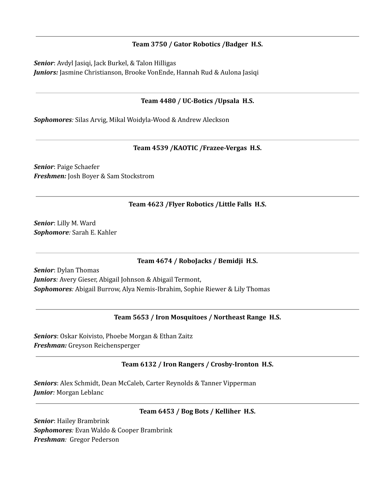#### **Team 3750 / Gator Robotics /Badger H.S.**

*Senior*: Avdyl Jasiqi, Jack Burkel, & Talon Hilligas *Juniors:* Jasmine Christianson, Brooke VonEnde, Hannah Rud & Aulona Jasiqi

### **Team 4480 / UC-Botics /Upsala H.S.**

*Sophomores:* Silas Arvig, Mikal Woidyla-Wood & Andrew Aleckson

#### **Team 4539 /KAOTIC /Frazee-Vergas H.S.**

*Senior*: Paige Schaefer *Freshmen:* Josh Boyer & Sam Stockstrom

#### **Team 4623 /Flyer Robotics /Little Falls H.S.**

*Senior*: Lilly M. Ward *Sophomore:* Sarah E. Kahler

#### **Team 4674 / RoboJacks / Bemidji H.S.**

*Senior*: Dylan Thomas *Juniors:* Avery Gieser, Abigail Johnson & Abigail Termont, *Sophomores:* Abigail Burrow, Alya Nemis-Ibrahim, Sophie Riewer & Lily Thomas

#### **Team 5653 / Iron Mosquitoes / Northeast Range H.S.**

*Seniors*: Oskar Koivisto, Phoebe Morgan & Ethan Zaitz *Freshman:* Greyson Reichensperger

#### **Team 6132 / Iron Rangers / Crosby-Ironton H.S.**

*Seniors*: Alex Schmidt, Dean McCaleb, Carter Reynolds & Tanner Vipperman *Junior:* Morgan Leblanc

#### **Team 6453 / Bog Bots / Kelliher H.S.**

*Senior*: Hailey Brambrink *Sophomores:* Evan Waldo & Cooper Brambrink *Freshman:* Gregor Pederson